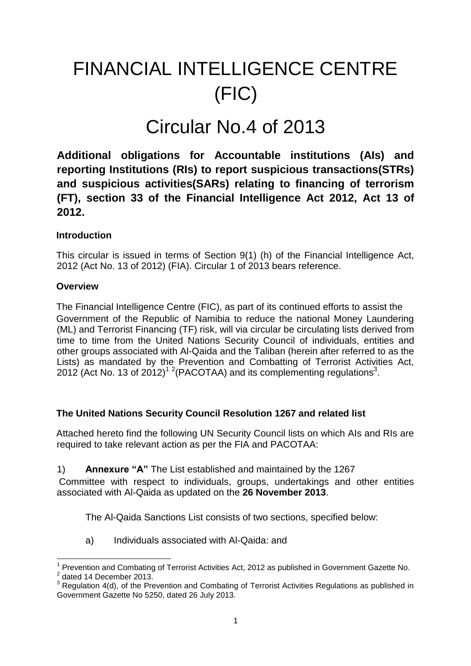# FINANCIAL INTELLIGENCE CENTRE (FIC)

## Circular No.4 of 2013

**Additional obligations for Accountable institutions (AIs) and reporting Institutions (RIs) to report suspicious transactions(STRs) and suspicious activities(SARs) relating to financing of terrorism (FT), section 33 of the Financial Intelligence Act 2012, Act 13 of 2012.** 

## **Introduction**

This circular is issued in terms of Section 9(1) (h) of the Financial Intelligence Act, 2012 (Act No. 13 of 2012) (FIA). Circular 1 of 2013 bears reference.

## **Overview**

The Financial Intelligence Centre (FIC), as part of its continued efforts to assist the Government of the Republic of Namibia to reduce the national Money Laundering (ML) and Terrorist Financing (TF) risk, will via circular be circulating lists derived from time to time from the United Nations Security Council of individuals, entities and other groups associated with Al-Qaida and the Taliban (herein after referred to as the Lists) as mandated by the Prevention and Combatting of Terrorist Activities Act, 2012 (Act No. 13 of 2012)<sup>12</sup> (PACOTAA) and its complementing regulations<sup>3</sup>.

## **The United Nations Security Council Resolution 1267 and related list**

Attached hereto find the following UN Security Council lists on which AIs and RIs are required to take relevant action as per the FIA and PACOTAA:

## 1) **Annexure "A"** The List established and maintained by the 1267

Committee with respect to individuals, groups, undertakings and other entities associated with Al-Qaida as updated on the **26 November 2013**.

The Al-Qaida Sanctions List consists of two sections, specified below:

a) Individuals associated with Al-Qaida: and

 $\overline{a}$ 

<sup>1</sup> Prevention and Combating of Terrorist Activities Act, 2012 as published in Government Gazette No.

 $2$  dated 14 December 2013.

 $3$  Regulation 4(d), of the Prevention and Combating of Terrorist Activities Regulations as published in Government Gazette No 5250, dated 26 July 2013.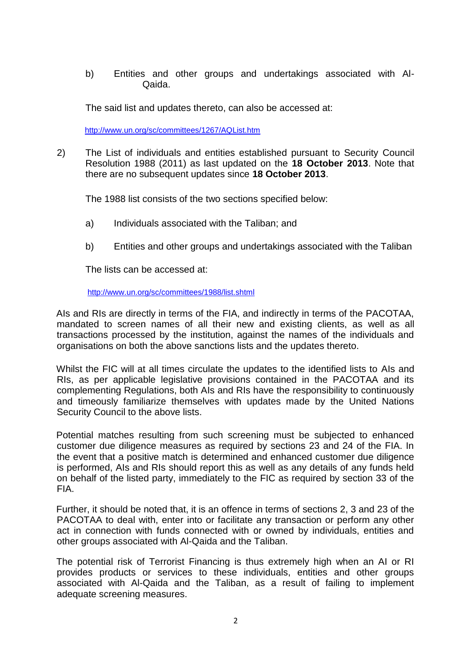b) Entities and other groups and undertakings associated with Al-Qaida.

The said list and updates thereto, can also be accessed at:

http://www.un.org/sc/committees/1267/AQList.htm

2) The List of individuals and entities established pursuant to Security Council Resolution 1988 (2011) as last updated on the **18 October 2013**. Note that there are no subsequent updates since **18 October 2013**.

The 1988 list consists of the two sections specified below:

- a) Individuals associated with the Taliban; and
- b) Entities and other groups and undertakings associated with the Taliban

The lists can be accessed at:

#### http://www.un.org/sc/committees/1988/list.shtml

AIs and RIs are directly in terms of the FIA, and indirectly in terms of the PACOTAA, mandated to screen names of all their new and existing clients, as well as all transactions processed by the institution, against the names of the individuals and organisations on both the above sanctions lists and the updates thereto.

Whilst the FIC will at all times circulate the updates to the identified lists to AIs and RIs, as per applicable legislative provisions contained in the PACOTAA and its complementing Regulations, both AIs and RIs have the responsibility to continuously and timeously familiarize themselves with updates made by the United Nations Security Council to the above lists.

Potential matches resulting from such screening must be subjected to enhanced customer due diligence measures as required by sections 23 and 24 of the FIA. In the event that a positive match is determined and enhanced customer due diligence is performed, AIs and RIs should report this as well as any details of any funds held on behalf of the listed party, immediately to the FIC as required by section 33 of the FIA.

Further, it should be noted that, it is an offence in terms of sections 2, 3 and 23 of the PACOTAA to deal with, enter into or facilitate any transaction or perform any other act in connection with funds connected with or owned by individuals, entities and other groups associated with Al-Qaida and the Taliban.

The potential risk of Terrorist Financing is thus extremely high when an AI or RI provides products or services to these individuals, entities and other groups associated with Al-Qaida and the Taliban, as a result of failing to implement adequate screening measures.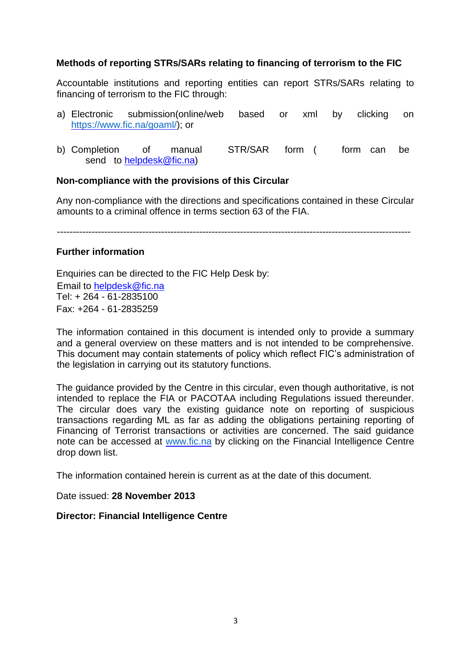#### **Methods of reporting STRs/SARs relating to financing of terrorism to the FIC**

Accountable institutions and reporting entities can report STRs/SARs relating to financing of terrorism to the FIC through:

- a) Electronic submission(online/web based or xml by clicking on https://www.fic.na/goaml/); or
- b) Completion of manual STR/SAR form ( form can be send to helpdesk@fic.na)

#### **Non-compliance with the provisions of this Circular**

Any non-compliance with the directions and specifications contained in these Circular amounts to a criminal offence in terms section 63 of the FIA.

----------------------------------------------------------------------------------------------------------------

#### **Further information**

Enquiries can be directed to the FIC Help Desk by: Email to helpdesk@fic.na Tel:  $+ 26\overline{4} - 61 - 2835100$ Fax: +264 - 61-2835259

The information contained in this document is intended only to provide a summary and a general overview on these matters and is not intended to be comprehensive. This document may contain statements of policy which reflect FIC's administration of the legislation in carrying out its statutory functions.

The guidance provided by the Centre in this circular, even though authoritative, is not intended to replace the FIA or PACOTAA including Regulations issued thereunder. The circular does vary the existing guidance note on reporting of suspicious transactions regarding ML as far as adding the obligations pertaining reporting of Financing of Terrorist transactions or activities are concerned. The said guidance note can be accessed at www.fic.na by clicking on the Financial Intelligence Centre drop down list.

The information contained herein is current as at the date of this document.

Date issued: **28 November 2013**

#### **Director: Financial Intelligence Centre**